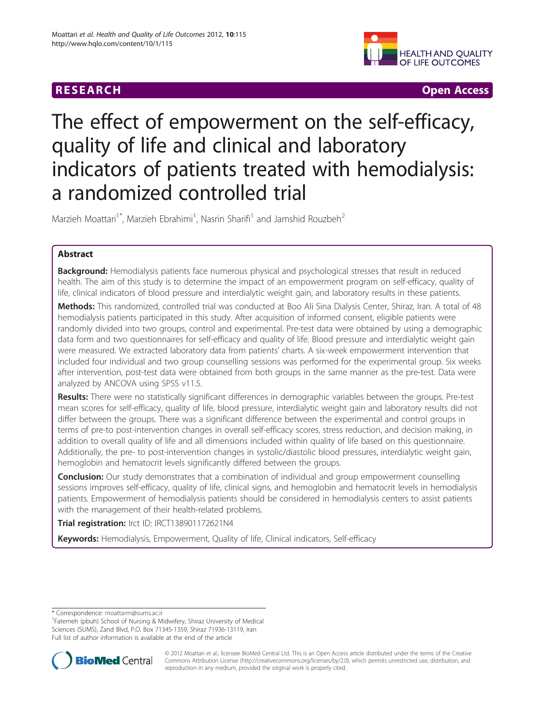# **RESEARCH RESEARCH CONSUMING ACCESS**



# The effect of empowerment on the self-efficacy, quality of life and clinical and laboratory indicators of patients treated with hemodialysis: a randomized controlled trial

Marzieh Moattari<sup>1\*</sup>, Marzieh Ebrahimi<sup>1</sup>, Nasrin Sharifi<sup>1</sup> and Jamshid Rouzbeh<sup>2</sup>

# Abstract

**Background:** Hemodialysis patients face numerous physical and psychological stresses that result in reduced health. The aim of this study is to determine the impact of an empowerment program on self-efficacy, quality of life, clinical indicators of blood pressure and interdialytic weight gain, and laboratory results in these patients.

Methods: This randomized, controlled trial was conducted at Boo Ali Sina Dialysis Center, Shiraz, Iran. A total of 48 hemodialysis patients participated in this study. After acquisition of informed consent, eligible patients were randomly divided into two groups, control and experimental. Pre-test data were obtained by using a demographic data form and two questionnaires for self-efficacy and quality of life. Blood pressure and interdialytic weight gain were measured. We extracted laboratory data from patients' charts. A six-week empowerment intervention that included four individual and two group counselling sessions was performed for the experimental group. Six weeks after intervention, post-test data were obtained from both groups in the same manner as the pre-test. Data were analyzed by ANCOVA using SPSS v11.5.

Results: There were no statistically significant differences in demographic variables between the groups. Pre-test mean scores for self-efficacy, quality of life, blood pressure, interdialytic weight gain and laboratory results did not differ between the groups. There was a significant difference between the experimental and control groups in terms of pre-to post-intervention changes in overall self-efficacy scores, stress reduction, and decision making, in addition to overall quality of life and all dimensions included within quality of life based on this questionnaire. Additionally, the pre- to post-intervention changes in systolic/diastolic blood pressures, interdialytic weight gain, hemoglobin and hematocrit levels significantly differed between the groups.

**Conclusion:** Our study demonstrates that a combination of individual and group empowerment counselling sessions improves self-efficacy, quality of life, clinical signs, and hemoglobin and hematocrit levels in hemodialysis patients. Empowerment of hemodialysis patients should be considered in hemodialysis centers to assist patients with the management of their health-related problems.

Trial registration: Irct ID: IRCT138901172621N4

Keywords: Hemodialysis, Empowerment, Quality of life, Clinical indicators, Self-efficacy

<sup>&</sup>lt;sup>1</sup>Fatemeh (pbuh) School of Nursing & Midwifery, Shiraz University of Medical Sciences (SUMS), Zand Blvd, P.O. Box 71345-1359, Shiraz 71936-13119, Iran Full list of author information is available at the end of the article



© 2012 Moattari et al.; licensee BioMed Central Ltd. This is an Open Access article distributed under the terms of the Creative Commons Attribution License [\(http://creativecommons.org/licenses/by/2.0\)](http://creativecommons.org/licenses/by/2.0), which permits unrestricted use, distribution, and reproduction in any medium, provided the original work is properly cited.

<sup>\*</sup> Correspondence: [moattarm@sums.ac.ir](mailto:moattarm@sums.ac.ir) <sup>1</sup>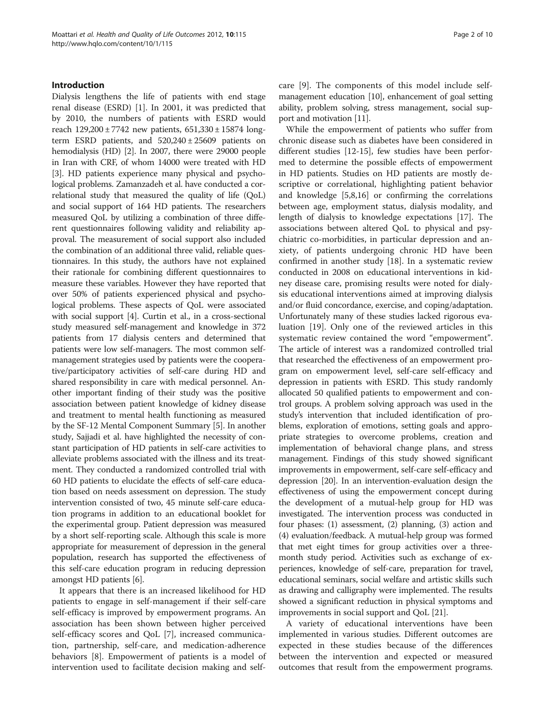# Introduction

Dialysis lengthens the life of patients with end stage renal disease (ESRD) [[1\]](#page-8-0). In 2001, it was predicted that by 2010, the numbers of patients with ESRD would reach 129,200 ± 7742 new patients, 651,330 ± 15874 longterm ESRD patients, and 520,240 ± 25609 patients on hemodialysis (HD) [[2\]](#page-8-0). In 2007, there were 29000 people in Iran with CRF, of whom 14000 were treated with HD [[3\]](#page-8-0). HD patients experience many physical and psychological problems. Zamanzadeh et al. have conducted a correlational study that measured the quality of life (QoL) and social support of 164 HD patients. The researchers measured QoL by utilizing a combination of three different questionnaires following validity and reliability approval. The measurement of social support also included the combination of an additional three valid, reliable questionnaires. In this study, the authors have not explained their rationale for combining different questionnaires to measure these variables. However they have reported that over 50% of patients experienced physical and psychological problems. These aspects of QoL were associated with social support [[4\]](#page-8-0). Curtin et al., in a cross-sectional study measured self-management and knowledge in 372 patients from 17 dialysis centers and determined that patients were low self-managers. The most common selfmanagement strategies used by patients were the cooperative/participatory activities of self-care during HD and shared responsibility in care with medical personnel. Another important finding of their study was the positive association between patient knowledge of kidney disease and treatment to mental health functioning as measured by the SF-12 Mental Component Summary [[5\]](#page-8-0). In another study, Sajjadi et al. have highlighted the necessity of constant participation of HD patients in self-care activities to alleviate problems associated with the illness and its treatment. They conducted a randomized controlled trial with 60 HD patients to elucidate the effects of self-care education based on needs assessment on depression. The study intervention consisted of two, 45 minute self-care education programs in addition to an educational booklet for the experimental group. Patient depression was measured by a short self-reporting scale. Although this scale is more appropriate for measurement of depression in the general population, research has supported the effectiveness of this self-care education program in reducing depression amongst HD patients [[6\]](#page-8-0).

It appears that there is an increased likelihood for HD patients to engage in self-management if their self-care self-efficacy is improved by empowerment programs. An association has been shown between higher perceived self-efficacy scores and QoL [\[7](#page-8-0)], increased communication, partnership, self-care, and medication-adherence behaviors [\[8](#page-8-0)]. Empowerment of patients is a model of intervention used to facilitate decision making and selfcare [[9\]](#page-8-0). The components of this model include selfmanagement education [\[10](#page-8-0)], enhancement of goal setting ability, problem solving, stress management, social support and motivation [\[11](#page-9-0)].

While the empowerment of patients who suffer from chronic disease such as diabetes have been considered in different studies [[12](#page-9-0)-[15\]](#page-9-0), few studies have been performed to determine the possible effects of empowerment in HD patients. Studies on HD patients are mostly descriptive or correlational, highlighting patient behavior and knowledge [\[5](#page-8-0),[8](#page-8-0),[16](#page-9-0)] or confirming the correlations between age, employment status, dialysis modality, and length of dialysis to knowledge expectations [\[17](#page-9-0)]. The associations between altered QoL to physical and psychiatric co-morbidities, in particular depression and anxiety, of patients undergoing chronic HD have been confirmed in another study [\[18](#page-9-0)]. In a systematic review conducted in 2008 on educational interventions in kidney disease care, promising results were noted for dialysis educational interventions aimed at improving dialysis and/or fluid concordance, exercise, and coping/adaptation. Unfortunately many of these studies lacked rigorous evaluation [\[19](#page-9-0)]. Only one of the reviewed articles in this systematic review contained the word "empowerment". The article of interest was a randomized controlled trial that researched the effectiveness of an empowerment program on empowerment level, self-care self-efficacy and depression in patients with ESRD. This study randomly allocated 50 qualified patients to empowerment and control groups. A problem solving approach was used in the study's intervention that included identification of problems, exploration of emotions, setting goals and appropriate strategies to overcome problems, creation and implementation of behavioral change plans, and stress management. Findings of this study showed significant improvements in empowerment, self-care self-efficacy and depression [\[20](#page-9-0)]. In an intervention-evaluation design the effectiveness of using the empowerment concept during the development of a mutual-help group for HD was investigated. The intervention process was conducted in four phases: (1) assessment, (2) planning, (3) action and (4) evaluation/feedback. A mutual-help group was formed that met eight times for group activities over a threemonth study period. Activities such as exchange of experiences, knowledge of self-care, preparation for travel, educational seminars, social welfare and artistic skills such as drawing and calligraphy were implemented. The results showed a significant reduction in physical symptoms and improvements in social support and QoL [\[21\]](#page-9-0).

A variety of educational interventions have been implemented in various studies. Different outcomes are expected in these studies because of the differences between the intervention and expected or measured outcomes that result from the empowerment programs.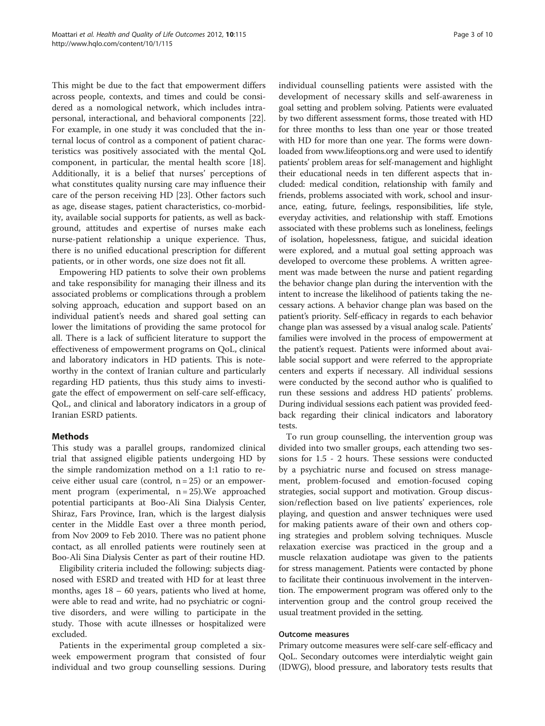This might be due to the fact that empowerment differs across people, contexts, and times and could be considered as a nomological network, which includes intrapersonal, interactional, and behavioral components [\[22](#page-9-0)]. For example, in one study it was concluded that the internal locus of control as a component of patient characteristics was positively associated with the mental QoL component, in particular, the mental health score [\[18](#page-9-0)]. Additionally, it is a belief that nurses' perceptions of what constitutes quality nursing care may influence their care of the person receiving HD [[23](#page-9-0)]. Other factors such as age, disease stages, patient characteristics, co-morbidity, available social supports for patients, as well as background, attitudes and expertise of nurses make each nurse-patient relationship a unique experience. Thus, there is no unified educational prescription for different patients, or in other words, one size does not fit all.

Empowering HD patients to solve their own problems and take responsibility for managing their illness and its associated problems or complications through a problem solving approach, education and support based on an individual patient's needs and shared goal setting can lower the limitations of providing the same protocol for all. There is a lack of sufficient literature to support the effectiveness of empowerment programs on QoL, clinical and laboratory indicators in HD patients. This is noteworthy in the context of Iranian culture and particularly regarding HD patients, thus this study aims to investigate the effect of empowerment on self-care self-efficacy, QoL, and clinical and laboratory indicators in a group of Iranian ESRD patients.

# Methods

This study was a parallel groups, randomized clinical trial that assigned eligible patients undergoing HD by the simple randomization method on a 1:1 ratio to receive either usual care (control,  $n = 25$ ) or an empowerment program (experimental,  $n = 25$ ). We approached potential participants at Boo-Ali Sina Dialysis Center, Shiraz, Fars Province, Iran, which is the largest dialysis center in the Middle East over a three month period, from Nov 2009 to Feb 2010. There was no patient phone contact, as all enrolled patients were routinely seen at Boo-Ali Sina Dialysis Center as part of their routine HD.

Eligibility criteria included the following: subjects diagnosed with ESRD and treated with HD for at least three months, ages 18 – 60 years, patients who lived at home, were able to read and write, had no psychiatric or cognitive disorders, and were willing to participate in the study. Those with acute illnesses or hospitalized were excluded.

Patients in the experimental group completed a sixweek empowerment program that consisted of four individual and two group counselling sessions. During individual counselling patients were assisted with the development of necessary skills and self-awareness in goal setting and problem solving. Patients were evaluated by two different assessment forms, those treated with HD for three months to less than one year or those treated with HD for more than one year. The forms were downloaded from [www.lifeoptions.org](http://www.lifeoptions.org) and were used to identify patients' problem areas for self-management and highlight their educational needs in ten different aspects that included: medical condition, relationship with family and friends, problems associated with work, school and insurance, eating, future, feelings, responsibilities, life style, everyday activities, and relationship with staff. Emotions associated with these problems such as loneliness, feelings of isolation, hopelessness, fatigue, and suicidal ideation were explored, and a mutual goal setting approach was developed to overcome these problems. A written agreement was made between the nurse and patient regarding the behavior change plan during the intervention with the intent to increase the likelihood of patients taking the necessary actions. A behavior change plan was based on the patient's priority. Self-efficacy in regards to each behavior change plan was assessed by a visual analog scale. Patients' families were involved in the process of empowerment at the patient's request. Patients were informed about available social support and were referred to the appropriate centers and experts if necessary. All individual sessions were conducted by the second author who is qualified to run these sessions and address HD patients' problems. During individual sessions each patient was provided feedback regarding their clinical indicators and laboratory tests.

To run group counselling, the intervention group was divided into two smaller groups, each attending two sessions for 1.5 - 2 hours. These sessions were conducted by a psychiatric nurse and focused on stress management, problem-focused and emotion-focused coping strategies, social support and motivation. Group discussion/reflection based on live patients' experiences, role playing, and question and answer techniques were used for making patients aware of their own and others coping strategies and problem solving techniques. Muscle relaxation exercise was practiced in the group and a muscle relaxation audiotape was given to the patients for stress management. Patients were contacted by phone to facilitate their continuous involvement in the intervention. The empowerment program was offered only to the intervention group and the control group received the usual treatment provided in the setting.

# Outcome measures

Primary outcome measures were self-care self-efficacy and QoL. Secondary outcomes were interdialytic weight gain (IDWG), blood pressure, and laboratory tests results that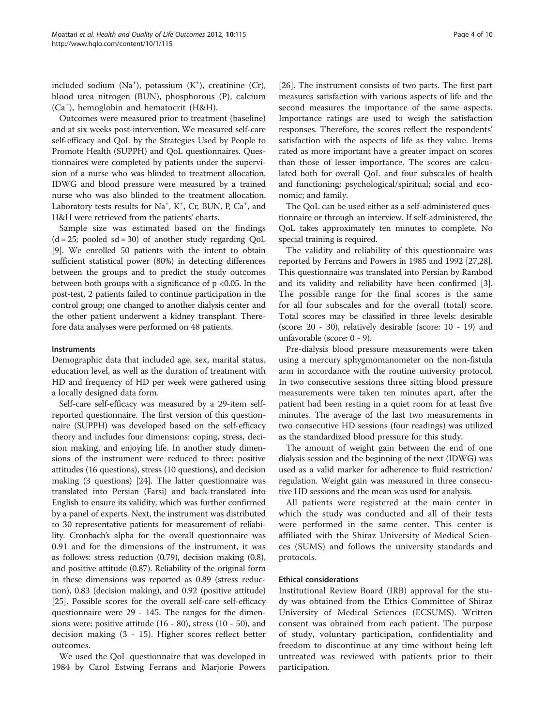included sodium  $(Na^+)$ , potassium  $(K^+)$ , creatinine  $(Cr)$ , blood urea nitrogen (BUN), phosphorous (P), calcium (Ca<sup>+</sup> ), hemoglobin and hematocrit (H&H).

Outcomes were measured prior to treatment (baseline) and at six weeks post-intervention. We measured self-care self-efficacy and QoL by the Strategies Used by People to Promote Health (SUPPH) and QoL questionnaires. Questionnaires were completed by patients under the supervision of a nurse who was blinded to treatment allocation. IDWG and blood pressure were measured by a trained nurse who was also blinded to the treatment allocation. Laboratory tests results for Na<sup>+</sup>, K<sup>+</sup>, Cr, BUN, P, Ca<sup>+</sup>, and H&H were retrieved from the patients' charts.

Sample size was estimated based on the findings  $(d = 25;$  pooled sd = 30) of another study regarding OoL [[9\]](#page-8-0). We enrolled 50 patients with the intent to obtain sufficient statistical power (80%) in detecting differences between the groups and to predict the study outcomes between both groups with a significance of  $p < 0.05$ . In the post-test, 2 patients failed to continue participation in the control group; one changed to another dialysis center and the other patient underwent a kidney transplant. Therefore data analyses were performed on 48 patients.

# Instruments

Demographic data that included age, sex, marital status, education level, as well as the duration of treatment with HD and frequency of HD per week were gathered using a locally designed data form.

Self-care self-efficacy was measured by a 29-item selfreported questionnaire. The first version of this questionnaire (SUPPH) was developed based on the self-efficacy theory and includes four dimensions: coping, stress, decision making, and enjoying life. In another study dimensions of the instrument were reduced to three: positive attitudes (16 questions), stress (10 questions), and decision making (3 questions) [[24](#page-9-0)]. The latter questionnaire was translated into Persian (Farsi) and back-translated into English to ensure its validity, which was further confirmed by a panel of experts. Next, the instrument was distributed to 30 representative patients for measurement of reliability. Cronbach's alpha for the overall questionnaire was 0.91 and for the dimensions of the instrument, it was as follows: stress reduction (0.79), decision making (0.8), and positive attitude (0.87). Reliability of the original form in these dimensions was reported as 0.89 (stress reduction), 0.83 (decision making), and 0.92 (positive attitude) [[25](#page-9-0)]. Possible scores for the overall self-care self-efficacy questionnaire were 29 - 145. The ranges for the dimensions were: positive attitude (16 - 80), stress (10 - 50), and decision making (3 - 15). Higher scores reflect better outcomes.

We used the QoL questionnaire that was developed in 1984 by Carol Estwing Ferrans and Marjorie Powers

[[26\]](#page-9-0). The instrument consists of two parts. The first part measures satisfaction with various aspects of life and the second measures the importance of the same aspects. Importance ratings are used to weigh the satisfaction responses. Therefore, the scores reflect the respondents' satisfaction with the aspects of life as they value. Items rated as more important have a greater impact on scores than those of lesser importance. The scores are calculated both for overall QoL and four subscales of health and functioning; psychological/spiritual; social and economic; and family.

The QoL can be used either as a self-administered questionnaire or through an interview. If self-administered, the QoL takes approximately ten minutes to complete. No special training is required.

The validity and reliability of this questionnaire was reported by Ferrans and Powers in 1985 and 1992 [\[27,28](#page-9-0)]. This questionnaire was translated into Persian by Rambod and its validity and reliability have been confirmed [[3](#page-8-0)]. The possible range for the final scores is the same for all four subscales and for the overall (total) score. Total scores may be classified in three levels: desirable (score: 20 - 30), relatively desirable (score: 10 - 19) and unfavorable (score: 0 - 9).

Pre-dialysis blood pressure measurements were taken using a mercury sphygmomanometer on the non-fistula arm in accordance with the routine university protocol. In two consecutive sessions three sitting blood pressure measurements were taken ten minutes apart, after the patient had been resting in a quiet room for at least five minutes. The average of the last two measurements in two consecutive HD sessions (four readings) was utilized as the standardized blood pressure for this study.

The amount of weight gain between the end of one dialysis session and the beginning of the next (IDWG) was used as a valid marker for adherence to fluid restriction/ regulation. Weight gain was measured in three consecutive HD sessions and the mean was used for analysis.

All patients were registered at the main center in which the study was conducted and all of their tests were performed in the same center. This center is affiliated with the Shiraz University of Medical Sciences (SUMS) and follows the university standards and protocols.

## Ethical considerations

Institutional Review Board (IRB) approval for the study was obtained from the Ethics Committee of Shiraz University of Medical Sciences (ECSUMS). Written consent was obtained from each patient. The purpose of study, voluntary participation, confidentiality and freedom to discontinue at any time without being left untreated was reviewed with patients prior to their participation.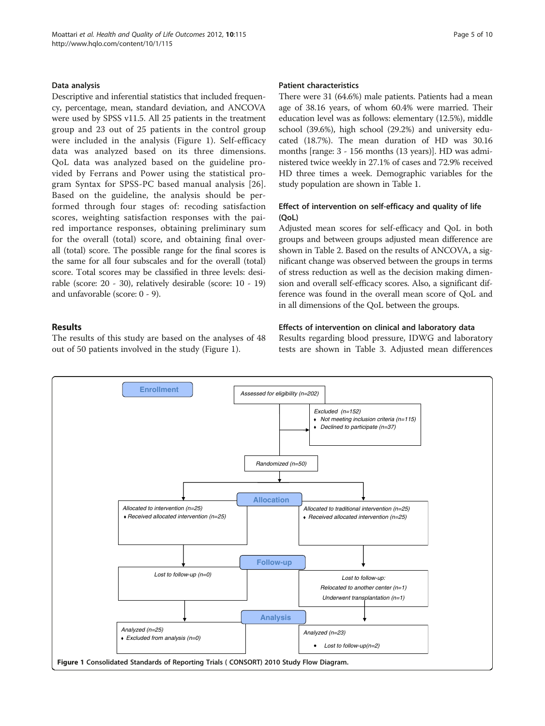# Data analysis

Descriptive and inferential statistics that included frequency, percentage, mean, standard deviation, and ANCOVA were used by SPSS v11.5. All 25 patients in the treatment group and 23 out of 25 patients in the control group were included in the analysis (Figure 1). Self-efficacy data was analyzed based on its three dimensions. QoL data was analyzed based on the guideline provided by Ferrans and Power using the statistical program Syntax for SPSS-PC based manual analysis [[26](#page-9-0)]. Based on the guideline, the analysis should be performed through four stages of: recoding satisfaction scores, weighting satisfaction responses with the paired importance responses, obtaining preliminary sum for the overall (total) score, and obtaining final overall (total) score. The possible range for the final scores is the same for all four subscales and for the overall (total) score. Total scores may be classified in three levels: desirable (score: 20 - 30), relatively desirable (score: 10 - 19) and unfavorable (score: 0 - 9).

# Results

The results of this study are based on the analyses of 48 out of 50 patients involved in the study (Figure 1).

# Patient characteristics

There were 31 (64.6%) male patients. Patients had a mean age of 38.16 years, of whom 60.4% were married. Their education level was as follows: elementary (12.5%), middle school (39.6%), high school (29.2%) and university educated (18.7%). The mean duration of HD was 30.16 months [range: 3 - 156 months (13 years)]. HD was administered twice weekly in 27.1% of cases and 72.9% received HD three times a week. Demographic variables for the study population are shown in Table [1.](#page-5-0)

# Effect of intervention on self-efficacy and quality of life (QoL)

Adjusted mean scores for self-efficacy and QoL in both groups and between groups adjusted mean difference are shown in Table [2.](#page-5-0) Based on the results of ANCOVA, a significant change was observed between the groups in terms of stress reduction as well as the decision making dimension and overall self-efficacy scores. Also, a significant difference was found in the overall mean score of QoL and in all dimensions of the QoL between the groups.

## Effects of intervention on clinical and laboratory data

Results regarding blood pressure, IDWG and laboratory tests are shown in Table [3.](#page-6-0) Adjusted mean differences

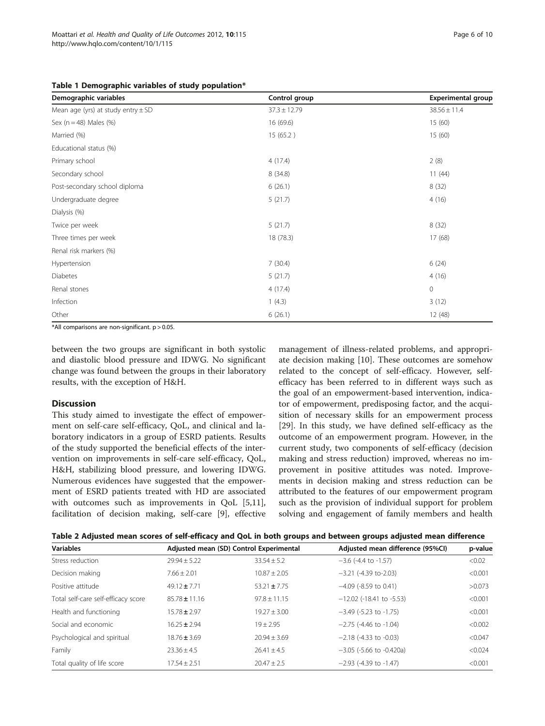<span id="page-5-0"></span>

|  |  | Table 1 Demographic variables of study population* |  |  |  |  |
|--|--|----------------------------------------------------|--|--|--|--|
|--|--|----------------------------------------------------|--|--|--|--|

| Demographic variables                  | Control group    | <b>Experimental group</b> |
|----------------------------------------|------------------|---------------------------|
| Mean age (yrs) at study entry $\pm$ SD | $37.3 \pm 12.79$ | $38.56 \pm 11.4$          |
| Sex ( $n = 48$ ) Males (%)             | 16 (69.6)        | 15(60)                    |
| Married (%)                            | 15(65.2)         | 15(60)                    |
| Educational status (%)                 |                  |                           |
| Primary school                         | 4(17.4)          | 2(8)                      |
| Secondary school                       | 8(34.8)          | 11(44)                    |
| Post-secondary school diploma          | 6(26.1)          | 8(32)                     |
| Undergraduate degree                   | 5(21.7)          | 4(16)                     |
| Dialysis (%)                           |                  |                           |
| Twice per week                         | 5(21.7)          | 8(32)                     |
| Three times per week                   | 18 (78.3)        | 17 (68)                   |
| Renal risk markers (%)                 |                  |                           |
| Hypertension                           | 7(30.4)          | 6(24)                     |
| Diabetes                               | 5(21.7)          | 4(16)                     |
| Renal stones                           | 4(17.4)          | $\circ$                   |
| Infection                              | 1(4.3)           | 3(12)                     |
| Other                                  | 6(26.1)          | 12 (48)                   |

\*All comparisons are non-significant. p > 0.05.

between the two groups are significant in both systolic and diastolic blood pressure and IDWG. No significant change was found between the groups in their laboratory results, with the exception of H&H.

#### **Discussion**

This study aimed to investigate the effect of empowerment on self-care self-efficacy, QoL, and clinical and laboratory indicators in a group of ESRD patients. Results of the study supported the beneficial effects of the intervention on improvements in self-care self-efficacy, QoL, H&H, stabilizing blood pressure, and lowering IDWG. Numerous evidences have suggested that the empowerment of ESRD patients treated with HD are associated with outcomes such as improvements in QoL [\[5](#page-8-0)[,11](#page-9-0)], facilitation of decision making, self-care [[9\]](#page-8-0), effective

management of illness-related problems, and appropriate decision making [\[10](#page-8-0)]. These outcomes are somehow related to the concept of self-efficacy. However, selfefficacy has been referred to in different ways such as the goal of an empowerment-based intervention, indicator of empowerment, predisposing factor, and the acquisition of necessary skills for an empowerment process [[29\]](#page-9-0). In this study, we have defined self-efficacy as the outcome of an empowerment program. However, in the current study, two components of self-efficacy (decision making and stress reduction) improved, whereas no improvement in positive attitudes was noted. Improvements in decision making and stress reduction can be attributed to the features of our empowerment program such as the provision of individual support for problem solving and engagement of family members and health

| Table 2 Adjusted mean scores of self-efficacy and QoL in both groups and between groups adjusted mean difference |  |  |  |
|------------------------------------------------------------------------------------------------------------------|--|--|--|
|                                                                                                                  |  |  |  |

| <b>Variables</b>                    | Adjusted mean (SD) Control Experimental |                  | Adjusted mean difference (95%CI) |                   |
|-------------------------------------|-----------------------------------------|------------------|----------------------------------|-------------------|
| Stress reduction                    | $79.94 + 5.22$                          | $33.54 \pm 5.2$  | $-3.6$ (-4.4 to -1.57)           | p-value<br>< 0.02 |
| Decision making                     | $7.66 \pm 2.01$                         | $10.87 \pm 2.05$ | $-3.21$ (-4.39 to-2.03)          | < 0.001           |
| Positive attitude                   | $49.12 \pm 7.71$                        | 53.21 $\pm$ 7.75 | $-4.09$ (-8.59 to 0.41)          | >0.073            |
| Total self-care self-efficacy score | $85.78 \pm 11.16$                       | $97.8 \pm 11.15$ | $-12.02$ (-18.41 to -5.53)       | < 0.001           |
| Health and functioning              | $15.78 \pm 2.97$                        | $19.27 \pm 3.00$ | $-3.49$ ( $-5.23$ to $-1.75$ )   | < 0.001           |
| Social and economic                 | $16.25 \pm 2.94$                        | $19 + 2.95$      | $-2.75$ (-4.46 to -1.04)         | < 0.002           |
| Psychological and spiritual         | $18.76 \pm 3.69$                        | $20.94 + 3.69$   | $-2.18$ (-4.33 to -0.03)         | < 0.047           |
| Family                              | $23.36 \pm 4.5$                         | $26.41 + 4.5$    | $-3.05$ ( $-5.66$ to $-0.420a$ ) | < 0.024           |
| Total quality of life score         | $17.54 \pm 2.51$                        | $20.47 + 2.5$    | $-2.93$ (-4.39 to -1.47)         | < 0.001           |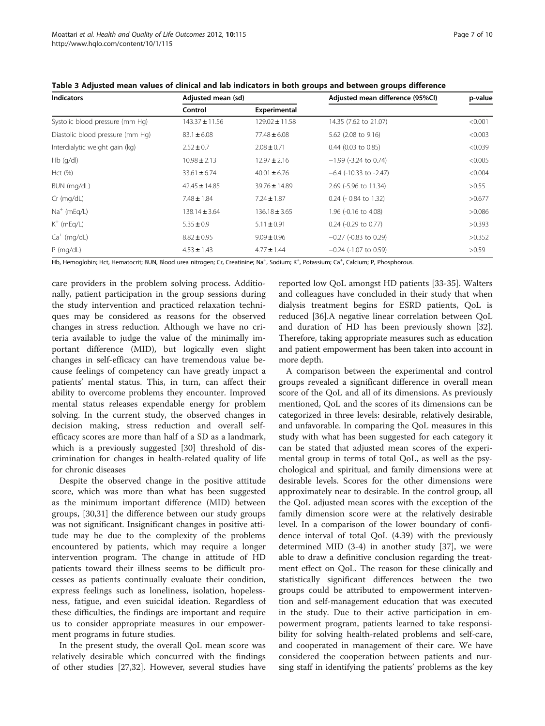| <b>Indicators</b>                | Adjusted mean (sd) |                    | Adjusted mean difference (95%Cl) | p-value |
|----------------------------------|--------------------|--------------------|----------------------------------|---------|
|                                  | Control            | Experimental       |                                  |         |
| Systolic blood pressure (mm Hg)  | 143.37 ± 11.56     | $129.02 \pm 11.58$ | 14.35 (7.62 to 21.07)            | < 0.001 |
| Diastolic blood pressure (mm Hq) | $83.1 \pm 6.08$    | $77.48 \pm 6.08$   | 5.62 (2.08 to 9.16)              | < 0.003 |
| Interdialytic weight gain (kg)   | $2.52 \pm 0.7$     | $2.08 \pm 0.71$    | $0.44$ (0.03 to 0.85)            | < 0.039 |
| $Hb$ (q/dl)                      | $10.98 \pm 2.13$   | $12.97 \pm 2.16$   | $-1.99$ (-3.24 to 0.74)          | < 0.005 |
| Hct (%)                          | $33.61 \pm 6.74$   | $40.01 \pm 6.76$   | $-6.4$ (-10.33 to -2.47)         | < 0.004 |
| BUN (mg/dL)                      | $42.45 \pm 14.85$  | 39.76 ± 14.89      | 2.69 (-5.96 to 11.34)            | >0.55   |
| Cr (mg/dL)                       | $7.48 \pm 1.84$    | $7.24 \pm 1.87$    | $0.24$ ( $-0.84$ to 1.32)        | >0.677  |
| $Na+$ (mEg/L)                    | 138.14 ± 3.64      | $136.18 \pm 3.65$  | 1.96 (-0.16 to 4.08)             | >0.086  |
| $K^+$ (mEg/L)                    | $5.35 \pm 0.9$     | $5.11 \pm 0.91$    | $0.24$ (-0.29 to 0.77)           | >0.393  |
| $Ca+$ (mg/dL)                    | $8.82 \pm 0.95$    | $9.09 \pm 0.96$    | $-0.27$ (-0.83 to 0.29)          | >0.352  |
| $P$ (mg/dL)                      | $4.53 \pm 1.43$    | $4.77 \pm 1.44$    | $-0.24$ (-1.07 to 0.59)          | >0.59   |

<span id="page-6-0"></span>Table 3 Adjusted mean values of clinical and lab indicators in both groups and between groups difference

Hb, Hemoglobin; Hct, Hematocrit; BUN, Blood urea nitrogen; Cr, Creatinine; Na<sup>+</sup>, Sodium; K<sup>+</sup>, Potassium; Ca<sup>+</sup>, Calcium; P, Phosphorous.

care providers in the problem solving process. Additionally, patient participation in the group sessions during the study intervention and practiced relaxation techniques may be considered as reasons for the observed changes in stress reduction. Although we have no criteria available to judge the value of the minimally important difference (MID), but logically even slight changes in self-efficacy can have tremendous value because feelings of competency can have greatly impact a patients' mental status. This, in turn, can affect their ability to overcome problems they encounter. Improved mental status releases expendable energy for problem solving. In the current study, the observed changes in decision making, stress reduction and overall selfefficacy scores are more than half of a SD as a landmark, which is a previously suggested [[30\]](#page-9-0) threshold of discrimination for changes in health-related quality of life for chronic diseases

Despite the observed change in the positive attitude score, which was more than what has been suggested as the minimum important difference (MID) between groups, [[30](#page-9-0),[31](#page-9-0)] the difference between our study groups was not significant. Insignificant changes in positive attitude may be due to the complexity of the problems encountered by patients, which may require a longer intervention program. The change in attitude of HD patients toward their illness seems to be difficult processes as patients continually evaluate their condition, express feelings such as loneliness, isolation, hopelessness, fatigue, and even suicidal ideation. Regardless of these difficulties, the findings are important and require us to consider appropriate measures in our empowerment programs in future studies.

In the present study, the overall QoL mean score was relatively desirable which concurred with the findings of other studies [[27,32\]](#page-9-0). However, several studies have

reported low QoL amongst HD patients [\[33-35](#page-9-0)]. Walters and colleagues have concluded in their study that when dialysis treatment begins for ESRD patients, QoL is reduced [\[36](#page-9-0)].A negative linear correlation between QoL and duration of HD has been previously shown [\[32](#page-9-0)]. Therefore, taking appropriate measures such as education and patient empowerment has been taken into account in more depth.

A comparison between the experimental and control groups revealed a significant difference in overall mean score of the QoL and all of its dimensions. As previously mentioned, QoL and the scores of its dimensions can be categorized in three levels: desirable, relatively desirable, and unfavorable. In comparing the QoL measures in this study with what has been suggested for each category it can be stated that adjusted mean scores of the experimental group in terms of total QoL, as well as the psychological and spiritual, and family dimensions were at desirable levels. Scores for the other dimensions were approximately near to desirable. In the control group, all the QoL adjusted mean scores with the exception of the family dimension score were at the relatively desirable level. In a comparison of the lower boundary of confidence interval of total QoL (4.39) with the previously determined MID (3-4) in another study [\[37](#page-9-0)], we were able to draw a definitive conclusion regarding the treatment effect on QoL. The reason for these clinically and statistically significant differences between the two groups could be attributed to empowerment intervention and self-management education that was executed in the study. Due to their active participation in empowerment program, patients learned to take responsibility for solving health-related problems and self-care, and cooperated in management of their care. We have considered the cooperation between patients and nursing staff in identifying the patients' problems as the key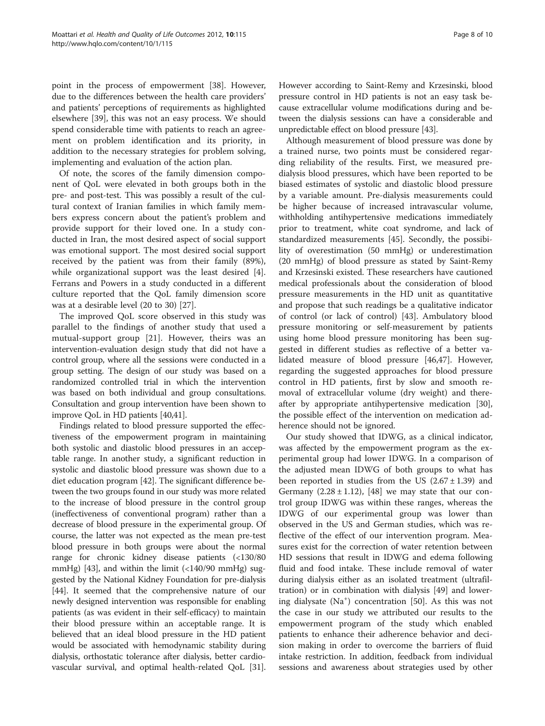point in the process of empowerment [[38\]](#page-9-0). However, due to the differences between the health care providers' and patients' perceptions of requirements as highlighted elsewhere [\[39\]](#page-9-0), this was not an easy process. We should spend considerable time with patients to reach an agreement on problem identification and its priority, in addition to the necessary strategies for problem solving, implementing and evaluation of the action plan.

Of note, the scores of the family dimension component of QoL were elevated in both groups both in the pre- and post-test. This was possibly a result of the cultural context of Iranian families in which family members express concern about the patient's problem and provide support for their loved one. In a study conducted in Iran, the most desired aspect of social support was emotional support. The most desired social support received by the patient was from their family (89%), while organizational support was the least desired [\[4](#page-8-0)]. Ferrans and Powers in a study conducted in a different culture reported that the QoL family dimension score was at a desirable level (20 to 30) [\[27](#page-9-0)].

The improved QoL score observed in this study was parallel to the findings of another study that used a mutual-support group [\[21](#page-9-0)]. However, theirs was an intervention-evaluation design study that did not have a control group, where all the sessions were conducted in a group setting. The design of our study was based on a randomized controlled trial in which the intervention was based on both individual and group consultations. Consultation and group intervention have been shown to improve QoL in HD patients [[40,41](#page-9-0)].

Findings related to blood pressure supported the effectiveness of the empowerment program in maintaining both systolic and diastolic blood pressures in an acceptable range. In another study, a significant reduction in systolic and diastolic blood pressure was shown due to a diet education program [\[42\]](#page-9-0). The significant difference between the two groups found in our study was more related to the increase of blood pressure in the control group (ineffectiveness of conventional program) rather than a decrease of blood pressure in the experimental group. Of course, the latter was not expected as the mean pre-test blood pressure in both groups were about the normal range for chronic kidney disease patients (<130/80 mmHg)  $[43]$  $[43]$  $[43]$ , and within the limit  $(140/90 \text{ mmHg})$  suggested by the National Kidney Foundation for pre-dialysis [[44](#page-9-0)]. It seemed that the comprehensive nature of our newly designed intervention was responsible for enabling patients (as was evident in their self-efficacy) to maintain their blood pressure within an acceptable range. It is believed that an ideal blood pressure in the HD patient would be associated with hemodynamic stability during dialysis, orthostatic tolerance after dialysis, better cardiovascular survival, and optimal health-related QoL [[31](#page-9-0)]. However according to Saint-Remy and Krzesinski, blood pressure control in HD patients is not an easy task because extracellular volume modifications during and between the dialysis sessions can have a considerable and unpredictable effect on blood pressure [[43\]](#page-9-0).

Although measurement of blood pressure was done by a trained nurse, two points must be considered regarding reliability of the results. First, we measured predialysis blood pressures, which have been reported to be biased estimates of systolic and diastolic blood pressure by a variable amount. Pre-dialysis measurements could be higher because of increased intravascular volume, withholding antihypertensive medications immediately prior to treatment, white coat syndrome, and lack of standardized measurements [\[45](#page-9-0)]. Secondly, the possibility of overestimation (50 mmHg) or underestimation (20 mmHg) of blood pressure as stated by Saint-Remy and Krzesinski existed. These researchers have cautioned medical professionals about the consideration of blood pressure measurements in the HD unit as quantitative and propose that such readings be a qualitative indicator of control (or lack of control) [\[43\]](#page-9-0). Ambulatory blood pressure monitoring or self-measurement by patients using home blood pressure monitoring has been suggested in different studies as reflective of a better validated measure of blood pressure [\[46,47\]](#page-9-0). However, regarding the suggested approaches for blood pressure control in HD patients, first by slow and smooth removal of extracellular volume (dry weight) and thereafter by appropriate antihypertensive medication [\[30](#page-9-0)], the possible effect of the intervention on medication adherence should not be ignored.

Our study showed that IDWG, as a clinical indicator, was affected by the empowerment program as the experimental group had lower IDWG. In a comparison of the adjusted mean IDWG of both groups to what has been reported in studies from the US  $(2.67 \pm 1.39)$  and Germany  $(2.28 \pm 1.12)$ , [\[48\]](#page-9-0) we may state that our control group IDWG was within these ranges, whereas the IDWG of our experimental group was lower than observed in the US and German studies, which was reflective of the effect of our intervention program. Measures exist for the correction of water retention between HD sessions that result in IDWG and edema following fluid and food intake. These include removal of water during dialysis either as an isolated treatment (ultrafiltration) or in combination with dialysis [[49\]](#page-9-0) and lower-ing dialysate (Na<sup>+</sup>) concentration [[50\]](#page-9-0). As this was not the case in our study we attributed our results to the empowerment program of the study which enabled patients to enhance their adherence behavior and decision making in order to overcome the barriers of fluid intake restriction. In addition, feedback from individual sessions and awareness about strategies used by other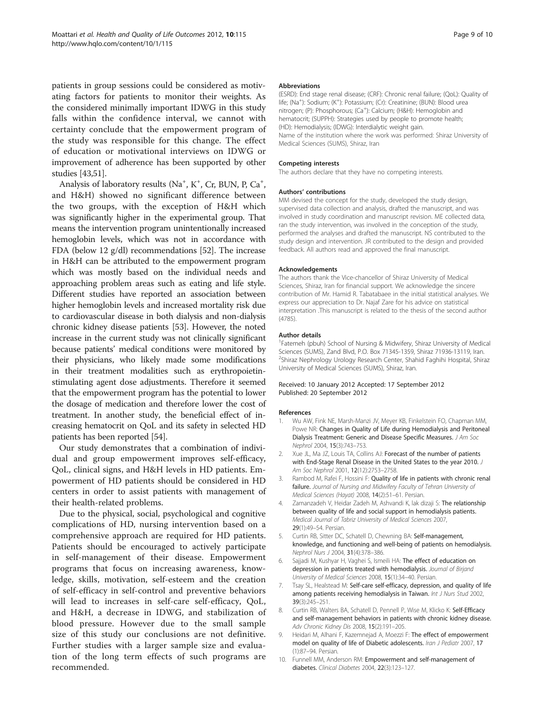<span id="page-8-0"></span>patients in group sessions could be considered as motivating factors for patients to monitor their weights. As the considered minimally important IDWG in this study falls within the confidence interval, we cannot with certainty conclude that the empowerment program of the study was responsible for this change. The effect of education or motivational interviews on IDWG or improvement of adherence has been supported by other studies [\[43,51](#page-9-0)].

Analysis of laboratory results (Na<sup>+</sup>, K<sup>+</sup>, Cr, BUN, P, Ca<sup>+</sup>, and H&H) showed no significant difference between the two groups, with the exception of H&H which was significantly higher in the experimental group. That means the intervention program unintentionally increased hemoglobin levels, which was not in accordance with FDA (below 12 g/dl) recommendations [\[52\]](#page-9-0). The increase in H&H can be attributed to the empowerment program which was mostly based on the individual needs and approaching problem areas such as eating and life style. Different studies have reported an association between higher hemoglobin levels and increased mortality risk due to cardiovascular disease in both dialysis and non-dialysis chronic kidney disease patients [\[53\]](#page-9-0). However, the noted increase in the current study was not clinically significant because patients' medical conditions were monitored by their physicians, who likely made some modifications in their treatment modalities such as erythropoietinstimulating agent dose adjustments. Therefore it seemed that the empowerment program has the potential to lower the dosage of medication and therefore lower the cost of treatment. In another study, the beneficial effect of increasing hematocrit on QoL and its safety in selected HD patients has been reported [\[54\]](#page-9-0).

Our study demonstrates that a combination of individual and group empowerment improves self-efficacy, QoL, clinical signs, and H&H levels in HD patients. Empowerment of HD patients should be considered in HD centers in order to assist patients with management of their health-related problems.

Due to the physical, social, psychological and cognitive complications of HD, nursing intervention based on a comprehensive approach are required for HD patients. Patients should be encouraged to actively participate in self-management of their disease. Empowerment programs that focus on increasing awareness, knowledge, skills, motivation, self-esteem and the creation of self-efficacy in self-control and preventive behaviors will lead to increases in self-care self-efficacy, QoL, and H&H, a decrease in IDWG, and stabilization of blood pressure. However due to the small sample size of this study our conclusions are not definitive. Further studies with a larger sample size and evaluation of the long term effects of such programs are recommended.

#### **Abbreviations**

(ESRD): End stage renal disease; (CRF): Chronic renal failure; (QoL): Quality of life; (Na<sup>+</sup>): Sodium; (K<sup>+</sup>): Potassium; (Cr): Creatinine; (BUN): Blood urea nitrogen; (P): Phosphorous; (Ca<sup>+</sup>): Calcium; (H&H): Hemoglobin and hematocrit; (SUPPH): Strategies used by people to promote health; (HD): Hemodialysis; (IDWG): Interdialytic weight gain. Name of the institution where the work was performed: Shiraz University of Medical Sciences (SUMS), Shiraz, Iran

#### Competing interests

The authors declare that they have no competing interests.

#### Authors' contributions

MM devised the concept for the study, developed the study design, supervised data collection and analysis, drafted the manuscript, and was involved in study coordination and manuscript revision. ME collected data, ran the study intervention, was involved in the conception of the study, performed the analyses and drafted the manuscript. NS contributed to the study design and intervention. JR contributed to the design and provided feedback. All authors read and approved the final manuscript.

#### Acknowledgements

The authors thank the Vice-chancellor of Shiraz University of Medical Sciences, Shiraz, Iran for financial support. We acknowledge the sincere contribution of Mr. Hamid R. Tabatabaee in the initial statistical analyses. We express our appreciation to Dr. Najaf Zare for his advice on statistical interpretation .This manuscript is related to the thesis of the second author (4785).

#### Author details

<sup>1</sup>Fatemeh (pbuh) School of Nursing & Midwifery, Shiraz University of Medical Sciences (SUMS), Zand Blvd, P.O. Box 71345-1359, Shiraz 71936-13119, Iran. <sup>2</sup>Shiraz Nephrology Urology Research Center, Shahid Faghihi Hospital, Shiraz University of Medical Sciences (SUMS), Shiraz, Iran.

#### Received: 10 January 2012 Accepted: 17 September 2012 Published: 20 September 2012

#### References

- 1. Wu AW, Fink NE, Marsh-Manzi JV, Meyer KB, Finkelstein FO, Chapman MM, Powe NR: Changes in Quality of Life during Hemodialysis and Peritoneal Dialysis Treatment: Generic and Disease Specific Measures. J Am Soc Nephrol 2004, 15(3):743–753.
- 2. Xue JL, Ma JZ, Louis TA, Collins AJ: Forecast of the number of patients with End-Stage Renal Disease in the United States to the year 2010. J Am Soc Nephrol 2001, 12(12):2753–2758.
- 3. Rambod M, Rafei F, Hossini F: Quality of life in patients with chronic renal failure. Journal of Nursing and Midwifery Faculty of Tehran University of Medical Sciences (Hayat) 2008, 14(2):51–61. Persian.
- 4. Zamanzadeh V, Heidar Zadeh M, Ashvandi K, lak dizaji S: The relationship between quality of life and social support in hemodialysis patients. Medical Journal of Tabriz University of Medical Sciences 2007, 29(1):49–54. Persian.
- Curtin RB, Sitter DC, Schatell D, Chewning BA: Self-management, knowledge, and functioning and well-being of patients on hemodialysis. Nephrol Nurs J 2004, 31(4):378–386.
- 6. Sajjadi M, Kushyar H, Vaghei S, Ismeili HA: The effect of education on depression in patients treated with hemodialysis. Journal of Birjand University of Medical Sciences 2008, 15(1):34–40. Persian.
- 7. Tsay SL, Healstead M: Self-care self-efficacy, depression, and quality of life among patients receiving hemodialysis in Taiwan. Int J Nurs Stud 2002, 39(3):245–251.
- 8. Curtin RB, Walters BA, Schatell D, Pennell P, Wise M, Klicko K: Self-Efficacy and self-management behaviors in patients with chronic kidney disease. Adv Chronic Kidney Dis 2008, 15(2):191–205.
- 9. Heidari M, Alhani F, Kazemnejad A, Moezzi F: The effect of empowerment model on quality of life of Diabetic adolescents. Iran J Pediatr 2007, 17 (1):87–94. Persian.
- 10. Funnell MM, Anderson RM: Empowerment and self-management of diabetes. Clinical Diabetes 2004, 22(3):123–127.